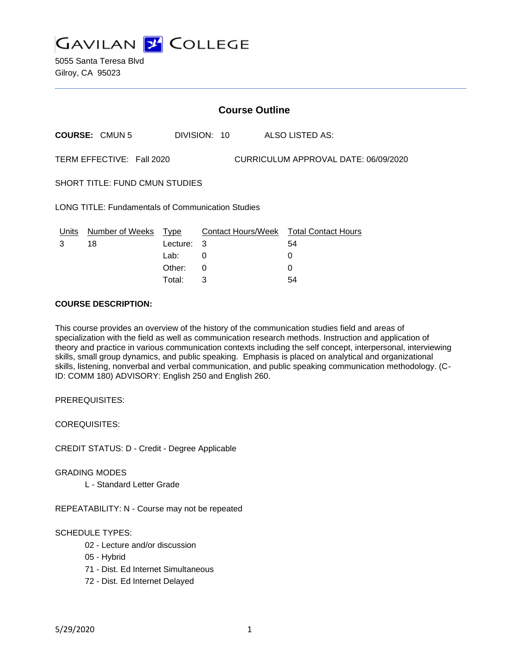

5055 Santa Teresa Blvd Gilroy, CA 95023

| <b>Course Outline</b>                                             |                            |            |              |                                        |
|-------------------------------------------------------------------|----------------------------|------------|--------------|----------------------------------------|
|                                                                   | <b>COURSE: CMUN5</b>       |            | DIVISION: 10 | ALSO LISTED AS:                        |
| TERM EFFECTIVE: Fall 2020<br>CURRICULUM APPROVAL DATE: 06/09/2020 |                            |            |              |                                        |
| <b>SHORT TITLE: FUND CMUN STUDIES</b>                             |                            |            |              |                                        |
| <b>LONG TITLE: Fundamentals of Communication Studies</b>          |                            |            |              |                                        |
|                                                                   | Units Number of Weeks Type |            |              | Contact Hours/Week Total Contact Hours |
| 3                                                                 | 18                         | Lecture: 3 |              | 54                                     |
|                                                                   |                            | Lab:       | 0            | 0                                      |
|                                                                   |                            | Other:     | $\Omega$     | 0                                      |
|                                                                   |                            | Total:     | 3            | 54                                     |

#### **COURSE DESCRIPTION:**

This course provides an overview of the history of the communication studies field and areas of specialization with the field as well as communication research methods. Instruction and application of theory and practice in various communication contexts including the self concept, interpersonal, interviewing skills, small group dynamics, and public speaking. Emphasis is placed on analytical and organizational skills, listening, nonverbal and verbal communication, and public speaking communication methodology. (C-ID: COMM 180) ADVISORY: English 250 and English 260.

PREREQUISITES:

COREQUISITES:

CREDIT STATUS: D - Credit - Degree Applicable

#### GRADING MODES

L - Standard Letter Grade

REPEATABILITY: N - Course may not be repeated

## SCHEDULE TYPES:

- 02 Lecture and/or discussion
- 05 Hybrid
- 71 Dist. Ed Internet Simultaneous
- 72 Dist. Ed Internet Delayed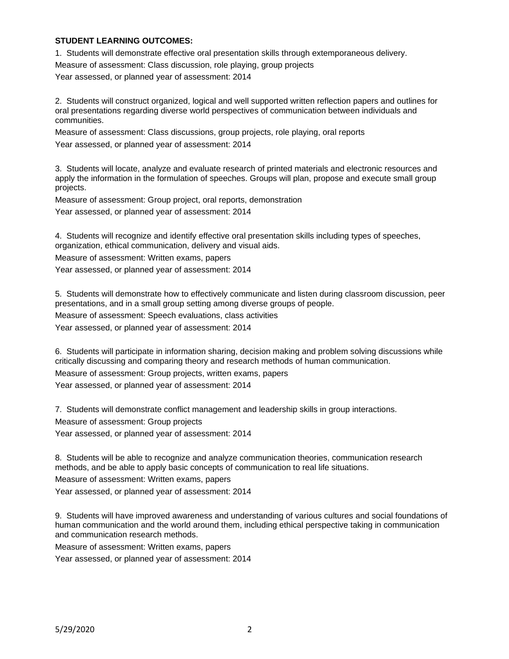## **STUDENT LEARNING OUTCOMES:**

1. Students will demonstrate effective oral presentation skills through extemporaneous delivery.

Measure of assessment: Class discussion, role playing, group projects

Year assessed, or planned year of assessment: 2014

2. Students will construct organized, logical and well supported written reflection papers and outlines for oral presentations regarding diverse world perspectives of communication between individuals and communities.

Measure of assessment: Class discussions, group projects, role playing, oral reports Year assessed, or planned year of assessment: 2014

3. Students will locate, analyze and evaluate research of printed materials and electronic resources and apply the information in the formulation of speeches. Groups will plan, propose and execute small group projects.

Measure of assessment: Group project, oral reports, demonstration Year assessed, or planned year of assessment: 2014

4. Students will recognize and identify effective oral presentation skills including types of speeches, organization, ethical communication, delivery and visual aids.

Measure of assessment: Written exams, papers

Year assessed, or planned year of assessment: 2014

5. Students will demonstrate how to effectively communicate and listen during classroom discussion, peer presentations, and in a small group setting among diverse groups of people.

Measure of assessment: Speech evaluations, class activities

Year assessed, or planned year of assessment: 2014

6. Students will participate in information sharing, decision making and problem solving discussions while critically discussing and comparing theory and research methods of human communication.

Measure of assessment: Group projects, written exams, papers

Year assessed, or planned year of assessment: 2014

7. Students will demonstrate conflict management and leadership skills in group interactions. Measure of assessment: Group projects

Year assessed, or planned year of assessment: 2014

8. Students will be able to recognize and analyze communication theories, communication research methods, and be able to apply basic concepts of communication to real life situations.

Measure of assessment: Written exams, papers

Year assessed, or planned year of assessment: 2014

9. Students will have improved awareness and understanding of various cultures and social foundations of human communication and the world around them, including ethical perspective taking in communication and communication research methods.

Measure of assessment: Written exams, papers

Year assessed, or planned year of assessment: 2014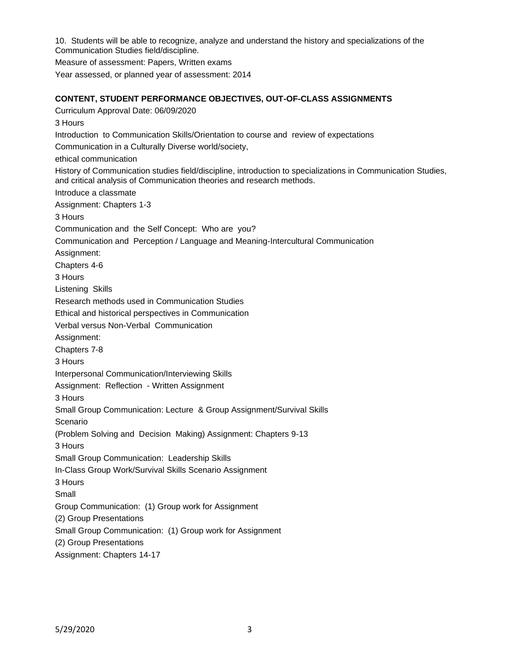10. Students will be able to recognize, analyze and understand the history and specializations of the Communication Studies field/discipline.

Measure of assessment: Papers, Written exams

Year assessed, or planned year of assessment: 2014

## **CONTENT, STUDENT PERFORMANCE OBJECTIVES, OUT-OF-CLASS ASSIGNMENTS**

Curriculum Approval Date: 06/09/2020 3 Hours Introduction to Communication Skills/Orientation to course and review of expectations Communication in a Culturally Diverse world/society, ethical communication History of Communication studies field/discipline, introduction to specializations in Communication Studies, and critical analysis of Communication theories and research methods. Introduce a classmate Assignment: Chapters 1-3 3 Hours Communication and the Self Concept: Who are you? Communication and Perception / Language and Meaning-Intercultural Communication Assignment: Chapters 4-6 3 Hours Listening Skills Research methods used in Communication Studies Ethical and historical perspectives in Communication Verbal versus Non-Verbal Communication Assignment: Chapters 7-8 3 Hours Interpersonal Communication/Interviewing Skills Assignment: Reflection - Written Assignment 3 Hours Small Group Communication: Lecture & Group Assignment/Survival Skills Scenario (Problem Solving and Decision Making) Assignment: Chapters 9-13 3 Hours Small Group Communication: Leadership Skills In-Class Group Work/Survival Skills Scenario Assignment 3 Hours Small Group Communication: (1) Group work for Assignment (2) Group Presentations Small Group Communication: (1) Group work for Assignment (2) Group Presentations Assignment: Chapters 14-17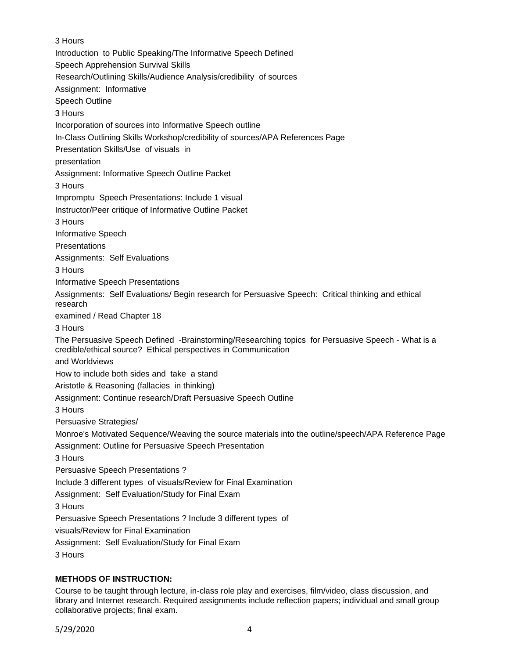3 Hours Introduction to Public Speaking/The Informative Speech Defined Speech Apprehension Survival Skills Research/Outlining Skills/Audience Analysis/credibility of sources Assignment: Informative Speech Outline 3 Hours Incorporation of sources into Informative Speech outline In-Class Outlining Skills Workshop/credibility of sources/APA References Page Presentation Skills/Use of visuals in presentation Assignment: Informative Speech Outline Packet 3 Hours Impromptu Speech Presentations: Include 1 visual Instructor/Peer critique of Informative Outline Packet 3 Hours Informative Speech **Presentations** Assignments: Self Evaluations 3 Hours Informative Speech Presentations Assignments: Self Evaluations/ Begin research for Persuasive Speech: Critical thinking and ethical research examined / Read Chapter 18 3 Hours The Persuasive Speech Defined -Brainstorming/Researching topics for Persuasive Speech - What is a credible/ethical source? Ethical perspectives in Communication and Worldviews How to include both sides and take a stand Aristotle & Reasoning (fallacies in thinking) Assignment: Continue research/Draft Persuasive Speech Outline 3 Hours Persuasive Strategies/ Monroe's Motivated Sequence/Weaving the source materials into the outline/speech/APA Reference Page Assignment: Outline for Persuasive Speech Presentation 3 Hours Persuasive Speech Presentations ? Include 3 different types of visuals/Review for Final Examination Assignment: Self Evaluation/Study for Final Exam 3 Hours Persuasive Speech Presentations ? Include 3 different types of visuals/Review for Final Examination Assignment: Self Evaluation/Study for Final Exam 3 Hours

## **METHODS OF INSTRUCTION:**

Course to be taught through lecture, in-class role play and exercises, film/video, class discussion, and library and Internet research. Required assignments include reflection papers; individual and small group collaborative projects; final exam.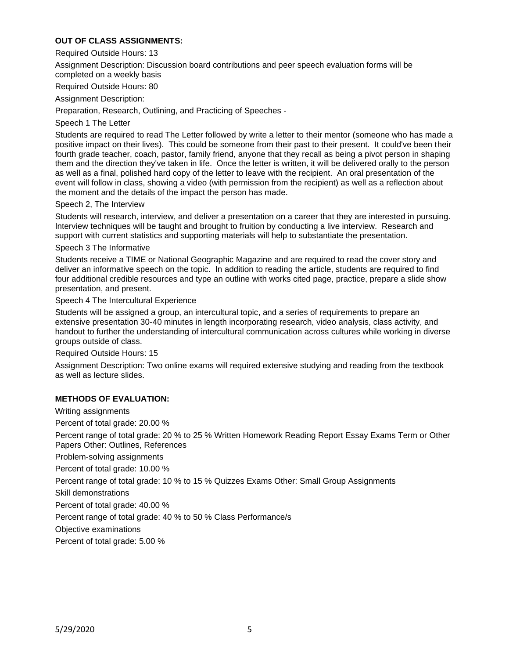## **OUT OF CLASS ASSIGNMENTS:**

Required Outside Hours: 13

Assignment Description: Discussion board contributions and peer speech evaluation forms will be completed on a weekly basis

Required Outside Hours: 80

Assignment Description:

Preparation, Research, Outlining, and Practicing of Speeches -

Speech 1 The Letter

Students are required to read The Letter followed by write a letter to their mentor (someone who has made a positive impact on their lives). This could be someone from their past to their present. It could've been their fourth grade teacher, coach, pastor, family friend, anyone that they recall as being a pivot person in shaping them and the direction they've taken in life. Once the letter is written, it will be delivered orally to the person as well as a final, polished hard copy of the letter to leave with the recipient. An oral presentation of the event will follow in class, showing a video (with permission from the recipient) as well as a reflection about the moment and the details of the impact the person has made.

Speech 2, The Interview

Students will research, interview, and deliver a presentation on a career that they are interested in pursuing. Interview techniques will be taught and brought to fruition by conducting a live interview. Research and support with current statistics and supporting materials will help to substantiate the presentation.

Speech 3 The Informative

Students receive a TIME or National Geographic Magazine and are required to read the cover story and deliver an informative speech on the topic. In addition to reading the article, students are required to find four additional credible resources and type an outline with works cited page, practice, prepare a slide show presentation, and present.

Speech 4 The Intercultural Experience

Students will be assigned a group, an intercultural topic, and a series of requirements to prepare an extensive presentation 30-40 minutes in length incorporating research, video analysis, class activity, and handout to further the understanding of intercultural communication across cultures while working in diverse groups outside of class.

Required Outside Hours: 15

Assignment Description: Two online exams will required extensive studying and reading from the textbook as well as lecture slides.

#### **METHODS OF EVALUATION:**

Writing assignments Percent of total grade: 20.00 % Percent range of total grade: 20 % to 25 % Written Homework Reading Report Essay Exams Term or Other Papers Other: Outlines, References Problem-solving assignments Percent of total grade: 10.00 % Percent range of total grade: 10 % to 15 % Quizzes Exams Other: Small Group Assignments Skill demonstrations Percent of total grade: 40.00 % Percent range of total grade: 40 % to 50 % Class Performance/s Objective examinations Percent of total grade: 5.00 %